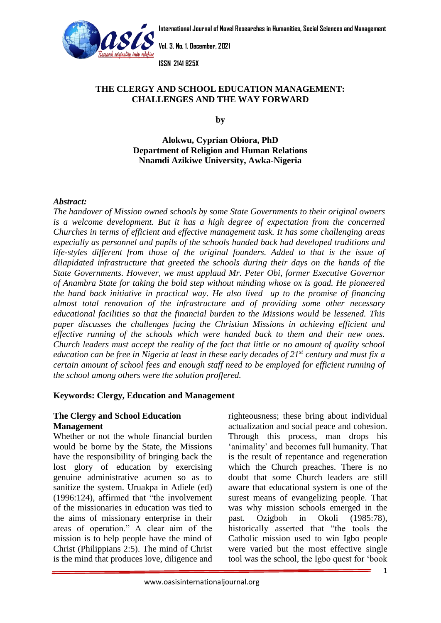



**Vol. 3. No. 1. December, 2021**

**ISSN 2141 825X**

## **THE CLERGY [AND SCHOOL EDUCA](http://www.oasisinternationaljournal.org/)TION MANAGEMENT: CHALLENGES AND THE WAY FORWARD**

**by**

**Alokwu, Cyprian Obiora, PhD Department of Religion and Human Relations Nnamdi Azikiwe University, Awka-Nigeria**

### *Abstract:*

*The handover of Mission owned schools by some State Governments to their original owners is a welcome development. But it has a high degree of expectation from the concerned Churches in terms of efficient and effective management task. It has some challenging areas especially as personnel and pupils of the schools handed back had developed traditions and life-styles different from those of the original founders. Added to that is the issue of dilapidated infrastructure that greeted the schools during their days on the hands of the State Governments. However, we must applaud Mr. Peter Obi, former Executive Governor of Anambra State for taking the bold step without minding whose ox is goad. He pioneered the hand back initiative in practical way. He also lived up to the promise of financing almost total renovation of the infrastructure and of providing some other necessary educational facilities so that the financial burden to the Missions would be lessened. This paper discusses the challenges facing the Christian Missions in achieving efficient and effective running of the schools which were handed back to them and their new ones. Church leaders must accept the reality of the fact that little or no amount of quality school education can be free in Nigeria at least in these early decades of 21st century and must fix a certain amount of school fees and enough staff need to be employed for efficient running of the school among others were the solution proffered.* 

#### **Keywords: Clergy, Education and Management**

### **The Clergy and School Education Management**

Whether or not the whole financial burden would be borne by the State, the Missions have the responsibility of bringing back the lost glory of education by exercising genuine administrative acumen so as to sanitize the system. Uruakpa in Adiele (ed) (1996:124), affirmed that "the involvement of the missionaries in education was tied to the aims of missionary enterprise in their areas of operation." A clear aim of the mission is to help people have the mind of Christ (Philippians 2:5). The mind of Christ is the mind that produces love, diligence and

righteousness; these bring about individual actualization and social peace and cohesion. Through this process, man drops his 'animality' and becomes full humanity. That is the result of repentance and regeneration which the Church preaches. There is no doubt that some Church leaders are still aware that educational system is one of the surest means of evangelizing people. That was why mission schools emerged in the past. Ozigboh in Okoli (1985:78), historically asserted that "the tools the Catholic mission used to win Igbo people were varied but the most effective single tool was the school, the Igbo quest for 'book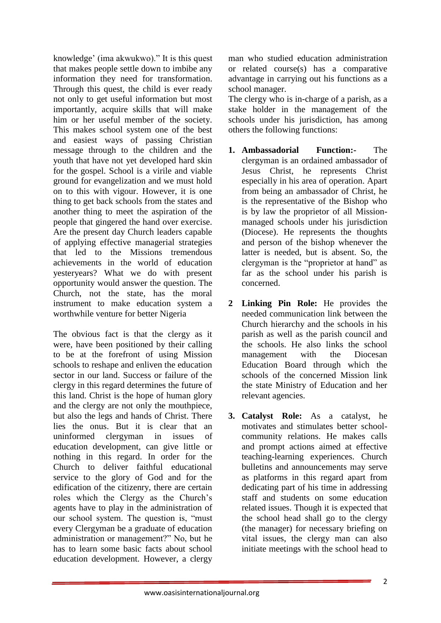knowledge' (ima akwukwo)." It is this quest that makes people settle down to imbibe any information they need for transformation. Through this quest, the child is ever ready not only to get useful information but most importantly, acquire skills that will make him or her useful member of the society. This makes school system one of the best and easiest ways of passing Christian message through to the children and the youth that have not yet developed hard skin for the gospel. School is a virile and viable ground for evangelization and we must hold on to this with vigour. However, it is one thing to get back schools from the states and another thing to meet the aspiration of the people that gingered the hand over exercise. Are the present day Church leaders capable of applying effective managerial strategies that led to the Missions tremendous achievements in the world of education yesteryears? What we do with present opportunity would answer the question. The Church, not the state, has the moral instrument to make education system a worthwhile venture for better Nigeria

The obvious fact is that the clergy as it were, have been positioned by their calling to be at the forefront of using Mission schools to reshape and enliven the education sector in our land. Success or failure of the clergy in this regard determines the future of this land. Christ is the hope of human glory and the clergy are not only the mouthpiece, but also the legs and hands of Christ. There lies the onus. But it is clear that an uninformed clergyman in issues of education development, can give little or nothing in this regard. In order for the Church to deliver faithful educational service to the glory of God and for the edification of the citizenry, there are certain roles which the Clergy as the Church's agents have to play in the administration of our school system. The question is, "must every Clergyman be a graduate of education administration or management?" No, but he has to learn some basic facts about school education development. However, a clergy

man who studied education administration or related course(s) has a comparative advantage in carrying out his functions as a school manager.

The clergy who is in-charge of a parish, as a stake holder in the management of the schools under his jurisdiction, has among others the following functions:

- **1. Ambassadorial Function:-** The clergyman is an ordained ambassador of Jesus Christ, he represents Christ especially in his area of operation. Apart from being an ambassador of Christ, he is the representative of the Bishop who is by law the proprietor of all Missionmanaged schools under his jurisdiction (Diocese). He represents the thoughts and person of the bishop whenever the latter is needed, but is absent. So, the clergyman is the "proprietor at hand" as far as the school under his parish is concerned.
- **2 Linking Pin Role:** He provides the needed communication link between the Church hierarchy and the schools in his parish as well as the parish council and the schools. He also links the school management with the Diocesan Education Board through which the schools of the concerned Mission link the state Ministry of Education and her relevant agencies.
- **3. Catalyst Role:** As a catalyst, he motivates and stimulates better schoolcommunity relations. He makes calls and prompt actions aimed at effective teaching-learning experiences. Church bulletins and announcements may serve as platforms in this regard apart from dedicating part of his time in addressing staff and students on some education related issues. Though it is expected that the school head shall go to the clergy (the manager) for necessary briefing on vital issues, the clergy man can also initiate meetings with the school head to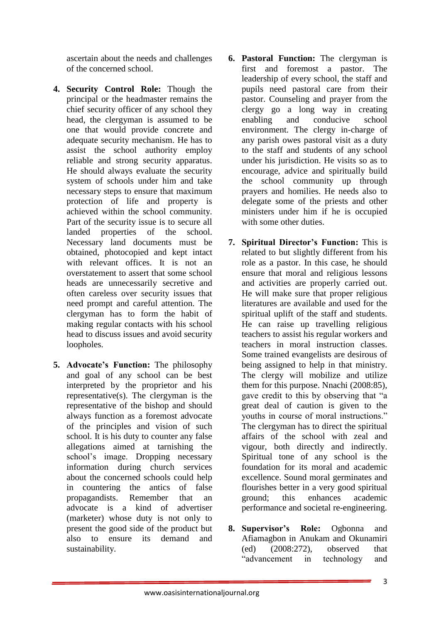ascertain about the needs and challenges of the concerned school.

- **4. Security Control Role:** Though the principal or the headmaster remains the chief security officer of any school they head, the clergyman is assumed to be one that would provide concrete and adequate security mechanism. He has to assist the school authority employ reliable and strong security apparatus. He should always evaluate the security system of schools under him and take necessary steps to ensure that maximum protection of life and property is achieved within the school community. Part of the security issue is to secure all landed properties of the school. Necessary land documents must be obtained, photocopied and kept intact with relevant offices. It is not an overstatement to assert that some school heads are unnecessarily secretive and often careless over security issues that need prompt and careful attention. The clergyman has to form the habit of making regular contacts with his school head to discuss issues and avoid security loopholes.
- **5. Advocate's Function:** The philosophy and goal of any school can be best interpreted by the proprietor and his representative(s). The clergyman is the representative of the bishop and should always function as a foremost advocate of the principles and vision of such school. It is his duty to counter any false allegations aimed at tarnishing the school's image. Dropping necessary information during church services about the concerned schools could help in countering the antics of false propagandists. Remember that an advocate is a kind of advertiser (marketer) whose duty is not only to present the good side of the product but also to ensure its demand and sustainability.
- **6. Pastoral Function:** The clergyman is first and foremost a pastor. The leadership of every school, the staff and pupils need pastoral care from their pastor. Counseling and prayer from the clergy go a long way in creating enabling and conducive school environment. The clergy in-charge of any parish owes pastoral visit as a duty to the staff and students of any school under his jurisdiction. He visits so as to encourage, advice and spiritually build the school community up through prayers and homilies. He needs also to delegate some of the priests and other ministers under him if he is occupied with some other duties.
- **7. Spiritual Director's Function:** This is related to but slightly different from his role as a pastor. In this case, he should ensure that moral and religious lessons and activities are properly carried out. He will make sure that proper religious literatures are available and used for the spiritual uplift of the staff and students. He can raise up travelling religious teachers to assist his regular workers and teachers in moral instruction classes. Some trained evangelists are desirous of being assigned to help in that ministry. The clergy will mobilize and utilize them for this purpose. Nnachi (2008:85), gave credit to this by observing that "a great deal of caution is given to the youths in course of moral instructions." The clergyman has to direct the spiritual affairs of the school with zeal and vigour, both directly and indirectly. Spiritual tone of any school is the foundation for its moral and academic excellence. Sound moral germinates and flourishes better in a very good spiritual ground; this enhances academic performance and societal re-engineering.
- **8. Supervisor's Role:** Ogbonna and Afiamagbon in Anukam and Okunamiri (ed) (2008:272), observed that "advancement in technology and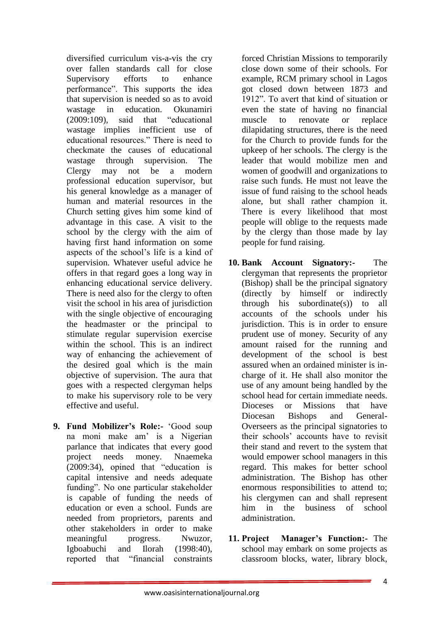diversified curriculum vis-a-vis the cry over fallen standards call for close Supervisory efforts to enhance performance". This supports the idea that supervision is needed so as to avoid wastage in education. Okunamiri (2009:109), said that "educational wastage implies inefficient use of educational resources." There is need to checkmate the causes of educational wastage through supervision. The Clergy may not be a modern professional education supervisor, but his general knowledge as a manager of human and material resources in the Church setting gives him some kind of advantage in this case. A visit to the school by the clergy with the aim of having first hand information on some aspects of the school's life is a kind of supervision. Whatever useful advice he offers in that regard goes a long way in enhancing educational service delivery. There is need also for the clergy to often visit the school in his area of jurisdiction with the single objective of encouraging the headmaster or the principal to stimulate regular supervision exercise within the school. This is an indirect way of enhancing the achievement of the desired goal which is the main objective of supervision. The aura that goes with a respected clergyman helps to make his supervisory role to be very effective and useful.

**9. Fund Mobilizer's Role:-** 'Good soup na moni make am' is a Nigerian parlance that indicates that every good project needs money. Nnaemeka (2009:34), opined that "education is capital intensive and needs adequate funding". No one particular stakeholder is capable of funding the needs of education or even a school. Funds are needed from proprietors, parents and other stakeholders in order to make meaningful progress. Nwuzor, Igboabuchi and Ilorah (1998:40), reported that "financial constraints

forced Christian Missions to temporarily close down some of their schools. For example, RCM primary school in Lagos got closed down between 1873 and 1912". To avert that kind of situation or even the state of having no financial muscle to renovate or replace dilapidating structures, there is the need for the Church to provide funds for the upkeep of her schools. The clergy is the leader that would mobilize men and women of goodwill and organizations to raise such funds. He must not leave the issue of fund raising to the school heads alone, but shall rather champion it. There is every likelihood that most people will oblige to the requests made by the clergy than those made by lay people for fund raising.

- **10. Bank Account Signatory:-** The clergyman that represents the proprietor (Bishop) shall be the principal signatory (directly by himself or indirectly through his subordinate(s)) to all accounts of the schools under his jurisdiction. This is in order to ensure prudent use of money. Security of any amount raised for the running and development of the school is best assured when an ordained minister is incharge of it. He shall also monitor the use of any amount being handled by the school head for certain immediate needs. Dioceses or Missions that have Diocesan Bishops and General-Overseers as the principal signatories to their schools' accounts have to revisit their stand and revert to the system that would empower school managers in this regard. This makes for better school administration. The Bishop has other enormous responsibilities to attend to; his clergymen can and shall represent him in the business of school administration.
- **11. Project Manager's Function:-** The school may embark on some projects as classroom blocks, water, library block,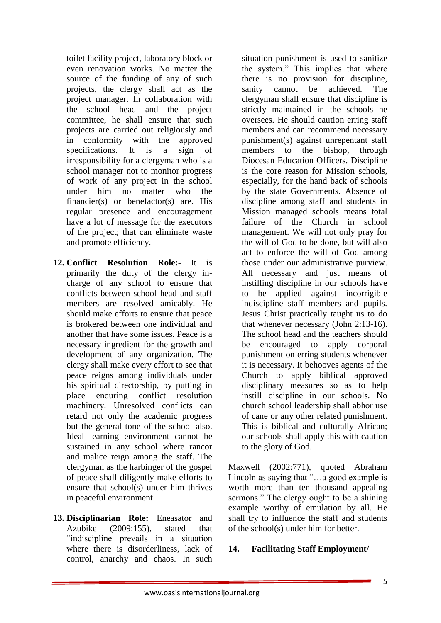toilet facility project, laboratory block or even renovation works. No matter the source of the funding of any of such projects, the clergy shall act as the project manager. In collaboration with the school head and the project committee, he shall ensure that such projects are carried out religiously and in conformity with the approved specifications. It is a sign of irresponsibility for a clergyman who is a school manager not to monitor progress of work of any project in the school under him no matter who the financier(s) or benefactor(s) are. His regular presence and encouragement have a lot of message for the executors of the project; that can eliminate waste and promote efficiency.

- **12. Conflict Resolution Role:-** It is primarily the duty of the clergy incharge of any school to ensure that conflicts between school head and staff members are resolved amicably. He should make efforts to ensure that peace is brokered between one individual and another that have some issues. Peace is a necessary ingredient for the growth and development of any organization. The clergy shall make every effort to see that peace reigns among individuals under his spiritual directorship, by putting in place enduring conflict resolution machinery. Unresolved conflicts can retard not only the academic progress but the general tone of the school also. Ideal learning environment cannot be sustained in any school where rancor and malice reign among the staff. The clergyman as the harbinger of the gospel of peace shall diligently make efforts to ensure that school(s) under him thrives in peaceful environment.
- **13. Disciplinarian Role:** Eneasator and Azubike (2009:155), stated that "indiscipline prevails in a situation where there is disorderliness, lack of control, anarchy and chaos. In such

situation punishment is used to sanitize the system." This implies that where there is no provision for discipline, sanity cannot be achieved. The clergyman shall ensure that discipline is strictly maintained in the schools he oversees. He should caution erring staff members and can recommend necessary punishment(s) against unrepentant staff members to the bishop, through Diocesan Education Officers. Discipline is the core reason for Mission schools, especially, for the hand back of schools by the state Governments. Absence of discipline among staff and students in Mission managed schools means total failure of the Church in school management. We will not only pray for the will of God to be done, but will also act to enforce the will of God among those under our administrative purview. All necessary and just means of instilling discipline in our schools have to be applied against incorrigible indiscipline staff members and pupils. Jesus Christ practically taught us to do that whenever necessary (John 2:13-16). The school head and the teachers should be encouraged to apply corporal punishment on erring students whenever it is necessary. It behooves agents of the Church to apply biblical approved disciplinary measures so as to help instill discipline in our schools. No church school leadership shall abhor use of cane or any other related punishment. This is biblical and culturally African; our schools shall apply this with caution to the glory of God.

Maxwell (2002:771), quoted Abraham Lincoln as saying that "…a good example is worth more than ten thousand appealing sermons." The clergy ought to be a shining example worthy of emulation by all. He shall try to influence the staff and students of the school(s) under him for better.

## **14. Facilitating Staff Employment/**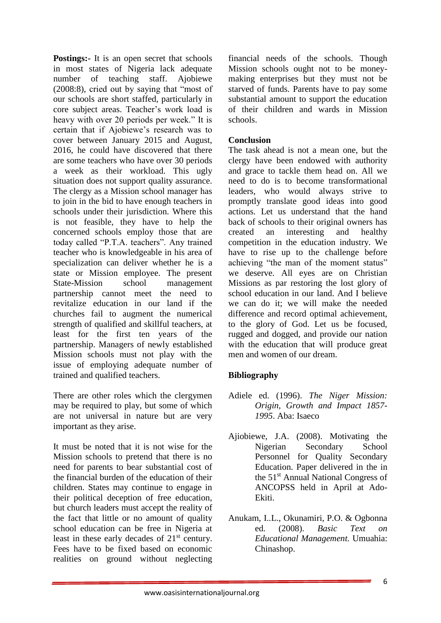**Postings:** It is an open secret that schools in most states of Nigeria lack adequate number of teaching staff. Ajobiewe (2008:8), cried out by saying that "most of our schools are short staffed, particularly in core subject areas. Teacher's work load is heavy with over 20 periods per week." It is certain that if Ajobiewe's research was to cover between January 2015 and August, 2016, he could have discovered that there are some teachers who have over 30 periods a week as their workload. This ugly situation does not support quality assurance. The clergy as a Mission school manager has to join in the bid to have enough teachers in schools under their jurisdiction. Where this is not feasible, they have to help the concerned schools employ those that are today called "P.T.A. teachers". Any trained teacher who is knowledgeable in his area of specialization can deliver whether he is a state or Mission employee. The present State-Mission school management partnership cannot meet the need to revitalize education in our land if the churches fail to augment the numerical strength of qualified and skillful teachers, at least for the first ten years of the partnership. Managers of newly established Mission schools must not play with the issue of employing adequate number of trained and qualified teachers.

There are other roles which the clergymen may be required to play, but some of which are not universal in nature but are very important as they arise.

It must be noted that it is not wise for the Mission schools to pretend that there is no need for parents to bear substantial cost of the financial burden of the education of their children. States may continue to engage in their political deception of free education, but church leaders must accept the reality of the fact that little or no amount of quality school education can be free in Nigeria at least in these early decades of  $21<sup>st</sup>$  century. Fees have to be fixed based on economic realities on ground without neglecting

financial needs of the schools. Though Mission schools ought not to be moneymaking enterprises but they must not be starved of funds. Parents have to pay some substantial amount to support the education of their children and wards in Mission schools.

## **Conclusion**

The task ahead is not a mean one, but the clergy have been endowed with authority and grace to tackle them head on. All we need to do is to become transformational leaders, who would always strive to promptly translate good ideas into good actions. Let us understand that the hand back of schools to their original owners has created an interesting and healthy competition in the education industry. We have to rise up to the challenge before achieving "the man of the moment status" we deserve. All eyes are on Christian Missions as par restoring the lost glory of school education in our land. And I believe we can do it; we will make the needed difference and record optimal achievement, to the glory of God. Let us be focused, rugged and dogged, and provide our nation with the education that will produce great men and women of our dream.

# **Bibliography**

- Adiele ed. (1996). *The Niger Mission: Origin, Growth and Impact 1857- 1995*. Aba: Isaeco
- Ajiobiewe, J.A. (2008). Motivating the Nigerian Secondary School Personnel for Quality Secondary Education. Paper delivered in the in the 51st Annual National Congress of ANCOPSS held in April at Ado-Ekiti.
- Anukam, I..L., Okunamiri, P.O. & Ogbonna ed. (2008). *Basic Text on Educational Management.* Umuahia: Chinashop.